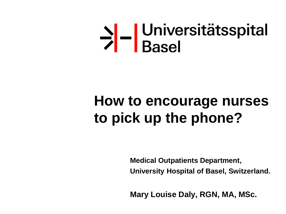# >|-|Universitätsspital

# **How to encourage nurses to pick up the phone?**

**Medical Outpatients Department, University Hospital of Basel, Switzerland.**

**Mary Louise Daly, RGN, MA, MSc.**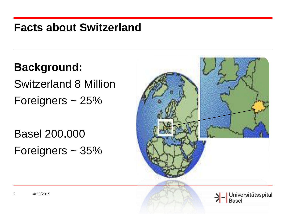#### **Facts about Switzerland**

**Background:** Switzerland 8 Million Foreigners ~ 25%

Basel 200,000 Foreigners ~ 35%

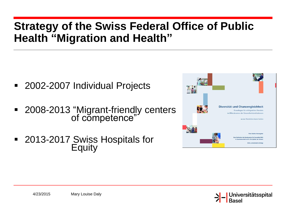#### **Strategy of the Swiss Federal Office of Public Health "Migration and Health"**

- 2002-2007 Individual Projects
- 2008-2013 "Migrant-friendly centers of competence"
- 2013-2017 Swiss Hospitals for **Equity**



>|-<br>|Universitätsspital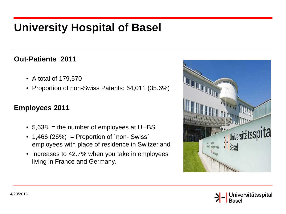### **University Hospital of Basel**

#### **Out-Patients 2011**

- A total of 179,570
- Proportion of non-Swiss Patents: 64,011 (35.6%)

#### **Employees 2011**

- $\cdot$  5,638 = the number of employees at UHBS
- $\cdot$  1,466 (26%) = Proportion of `non- Swiss´ employees with place of residence in Switzerland
- Increases to 42.7% when you take in employees living in France and Germany.



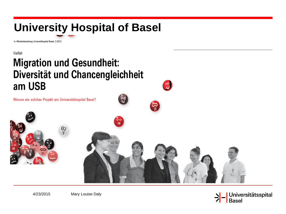## **University Hospital of Basel**

In: Mitarbeiterzeitung Universitätsspital Basel, 2-2012

Vielfalt

#### **Migration und Gesundheit:** Diversität und Chancengleichheit am USB

Warum ein solches Projekt am Universitätsspital Basel?





4/23/2015 Mary Louise Daly

>|- Universitätsspital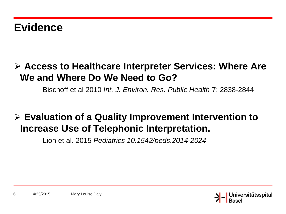#### **Evidence**

#### **Access to Healthcare Interpreter Services: Where Are We and Where Do We Need to Go?**

Bischoff et al 2010 *Int. J. Environ. Res. Public Health* 7: 2838-2844

#### **Evaluation of a Quality Improvement Intervention to Increase Use of Telephonic Interpretation.**

Lion et al. 2015 *Pediatrics 10.1542/peds.2014-2024*

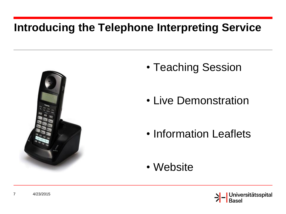### **Introducing the Telephone Interpreting Service**



- Teaching Session
- Live Demonstration
- Information Leaflets
- Website

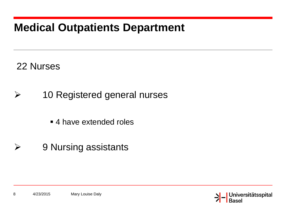### **Medical Outpatients Department**

22 Nurses

- 10 Registered general nurses
	- 4 have extended roles
- **▶ 9 Nursing assistants**

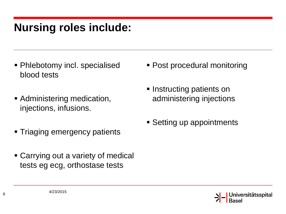#### **Nursing roles include:**

- **Phlebotomy incl. specialised** blood tests
- **Administering medication,** injections, infusions.
- **Triaging emergency patients**
- Carrying out a variety of medical tests eg ecg, orthostase tests
- Post procedural monitoring
- **Instructing patients on** administering injections
- **Setting up appointments**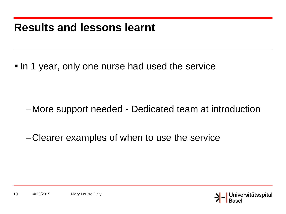#### **Results and lessons learnt**

In 1 year, only one nurse had used the service

- More support needed Dedicated team at introduction
- Clearer examples of when to use the service